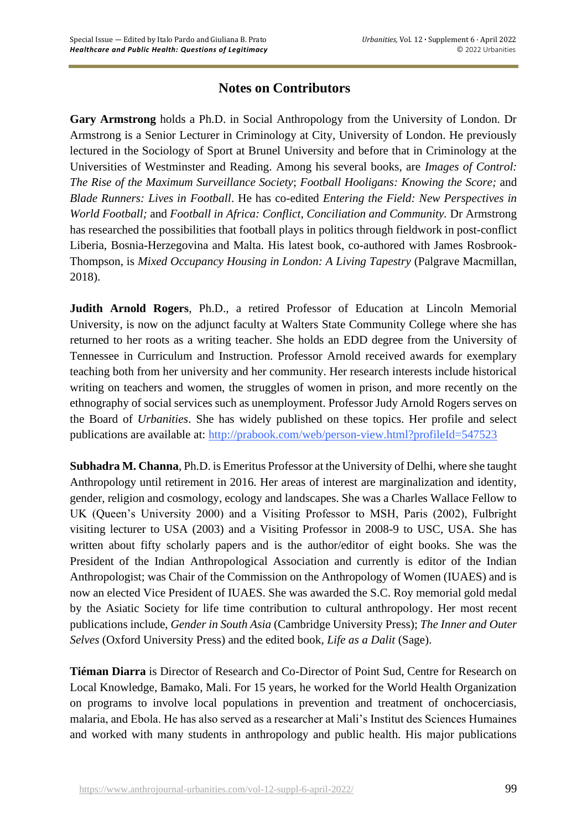## **Notes on Contributors**

**Gary Armstrong** holds a Ph.D. in Social Anthropology from the University of London. Dr Armstrong is a Senior Lecturer in Criminology at City, University of London. He previously lectured in the Sociology of Sport at Brunel University and before that in Criminology at the Universities of Westminster and Reading. Among his several books, are *Images of Control: The Rise of the Maximum Surveillance Society*; *Football Hooligans: Knowing the Score;* and *Blade Runners: Lives in Football*. He has co-edited *Entering the Field: New Perspectives in World Football;* and *Football in Africa: Conflict, Conciliation and Community.* Dr Armstrong has researched the possibilities that football plays in politics through fieldwork in post-conflict Liberia, Bosnia-Herzegovina and Malta. His latest book, co-authored with James Rosbrook-Thompson, is *Mixed Occupancy Housing in London: A Living Tapestry* (Palgrave Macmillan, 2018).

**Judith Arnold Rogers**, Ph.D., a retired Professor of Education at Lincoln Memorial University, is now on the adjunct faculty at Walters State Community College where she has returned to her roots as a writing teacher. She holds an EDD degree from the University of Tennessee in Curriculum and Instruction. Professor Arnold received awards for exemplary teaching both from her university and her community. Her research interests include historical writing on teachers and women, the struggles of women in prison, and more recently on the ethnography of social services such as unemployment. Professor Judy Arnold Rogers serves on the Board of *Urbanities*. She has widely published on these topics. Her profile and select publications are available at: http://prabook.com/web/person-view.html?profileId=547523

**Subhadra M. Channa**, Ph.D. is Emeritus Professor at the University of Delhi, where she taught Anthropology until retirement in 2016. Her areas of interest are marginalization and identity, gender, religion and cosmology, ecology and landscapes. She was a Charles Wallace Fellow to UK (Queen's University 2000) and a Visiting Professor to MSH, Paris (2002), Fulbright visiting lecturer to USA (2003) and a Visiting Professor in 2008-9 to USC, USA. She has written about fifty scholarly papers and is the author/editor of eight books. She was the President of the Indian Anthropological Association and currently is editor of the Indian Anthropologist; was Chair of the Commission on the Anthropology of Women (IUAES) and is now an elected Vice President of IUAES. She was awarded the S.C. Roy memorial gold medal by the Asiatic Society for life time contribution to cultural anthropology. Her most recent publications include, *Gender in South Asia* (Cambridge University Press); *The Inner and Outer Selves* (Oxford University Press) and the edited book, *Life as a Dalit* (Sage).

**Tiéman Diarra** is Director of Research and Co-Director of Point Sud, Centre for Research on Local Knowledge, Bamako, Mali. For 15 years, he worked for the World Health Organization on programs to involve local populations in prevention and treatment of onchocerciasis, malaria, and Ebola. He has also served as a researcher at Mali's Institut des Sciences Humaines and worked with many students in anthropology and public health. His major publications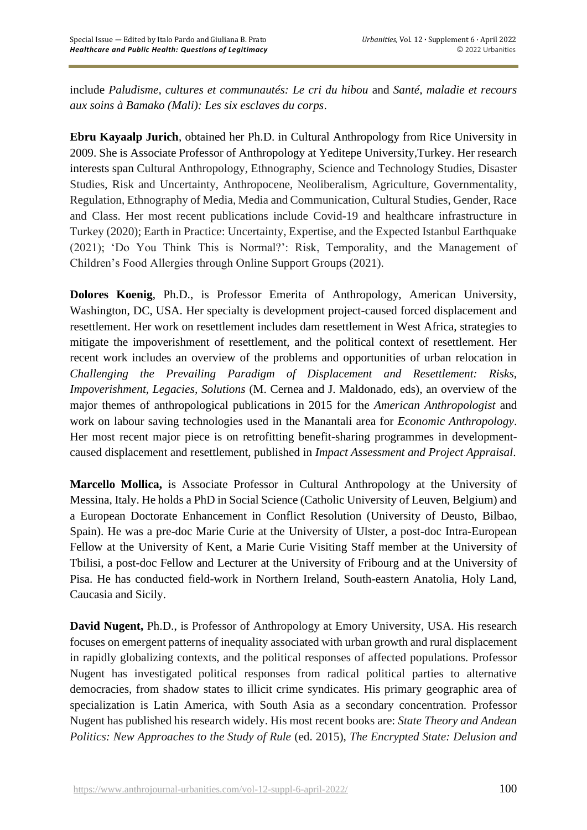include *Paludisme, cultures et communautés: Le cri du hibou* and *Santé, maladie et recours aux soins à Bamako (Mali): Les six esclaves du corps*.

**Ebru Kayaalp Jurich**, obtained her Ph.D. in Cultural Anthropology from Rice University in 2009. She is Associate Professor of Anthropology at Yeditepe University,Turkey. Her research interests span Cultural Anthropology, Ethnography, Science and Technology Studies, Disaster Studies, Risk and Uncertainty, Anthropocene, Neoliberalism, Agriculture, Governmentality, Regulation, Ethnography of Media, Media and Communication, Cultural Studies, Gender, Race and Class. Her most recent publications include Covid-19 and healthcare infrastructure in Turkey (2020); Earth in Practice: Uncertainty, Expertise, and the Expected Istanbul Earthquake (2021); 'Do You Think This is Normal?': Risk, Temporality, and the Management of Children's Food Allergies through Online Support Groups (2021).

**Dolores Koenig**, Ph.D., is Professor Emerita of Anthropology, American University, Washington, DC, USA. Her specialty is development project-caused forced displacement and resettlement. Her work on resettlement includes dam resettlement in West Africa, strategies to mitigate the impoverishment of resettlement, and the political context of resettlement. Her recent work includes an overview of the problems and opportunities of urban relocation in *Challenging the Prevailing Paradigm of Displacement and Resettlement: Risks, Impoverishment, Legacies, Solutions* (M. Cernea and J. Maldonado, eds), an overview of the major themes of anthropological publications in 2015 for the *American Anthropologist* and work on labour saving technologies used in the Manantali area for *Economic Anthropology*. Her most recent major piece is on retrofitting benefit-sharing programmes in developmentcaused displacement and resettlement, published in *Impact Assessment and Project Appraisal*.

**Marcello Mollica,** is Associate Professor in Cultural Anthropology at the University of Messina, Italy. He holds a PhD in Social Science (Catholic University of Leuven, Belgium) and a European Doctorate Enhancement in Conflict Resolution (University of Deusto, Bilbao, Spain). He was a pre-doc Marie Curie at the University of Ulster, a post-doc Intra-European Fellow at the University of Kent, a Marie Curie Visiting Staff member at the University of Tbilisi, a post-doc Fellow and Lecturer at the University of Fribourg and at the University of Pisa. He has conducted field-work in Northern Ireland, South-eastern Anatolia, Holy Land, Caucasia and Sicily.

**David Nugent,** Ph.D., is Professor of Anthropology at Emory University, USA. His research focuses on emergent patterns of inequality associated with urban growth and rural displacement in rapidly globalizing contexts, and the political responses of affected populations. Professor Nugent has investigated political responses from radical political parties to alternative democracies, from shadow states to illicit crime syndicates. His primary geographic area of specialization is Latin America, with South Asia as a secondary concentration. Professor Nugent has published his research widely. His most recent books are: *State Theory and Andean Politics: New Approaches to the Study of Rule* (ed. 2015), *The Encrypted State: Delusion and*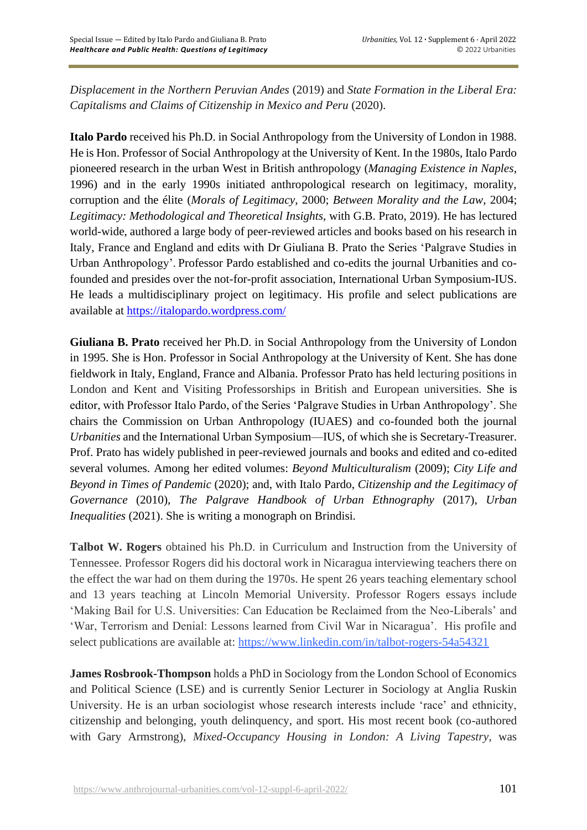*Displacement in the Northern Peruvian Andes* (2019) and *State Formation in the Liberal Era: Capitalisms and Claims of Citizenship in Mexico and Peru* (2020).

**Italo Pardo** received his Ph.D. in Social Anthropology from the University of London in 1988. He is Hon. Professor of Social Anthropology at the University of Kent. In the 1980s, Italo Pardo pioneered research in the urban West in British anthropology (*Managing Existence in Naples*, 1996) and in the early 1990s initiated anthropological research on legitimacy, morality, corruption and the élite (*Morals of Legitimacy*, 2000; *Between Morality and the Law*, 2004; *Legitimacy: Methodological and Theoretical Insights*, with G.B. Prato, 2019). He has lectured world-wide, authored a large body of peer-reviewed articles and books based on his research in Italy, France and England and edits with Dr Giuliana B. Prato the Series 'Palgrave Studies in Urban Anthropology'. Professor Pardo established and co-edits the journal Urbanities and cofounded and presides over the not-for-profit association, International Urban Symposium-IUS. He leads a multidisciplinary project on legitimacy. His profile and select publications are available at <https://italopardo.wordpress.com/>

**Giuliana B. Prato** received her Ph.D. in Social Anthropology from the University of London in 1995. She is Hon. Professor in Social Anthropology at the University of Kent. She has done fieldwork in Italy, England, France and Albania. Professor Prato has held lecturing positions in London and Kent and Visiting Professorships in British and European universities. She is editor, with Professor Italo Pardo, of the Series 'Palgrave Studies in Urban Anthropology'. She chairs the Commission on Urban Anthropology (IUAES) and co-founded both the journal *Urbanities* and the International Urban Symposium—IUS, of which she is Secretary-Treasurer. Prof. Prato has widely published in peer-reviewed journals and books and edited and co-edited several volumes. Among her edited volumes: *Beyond Multiculturalism* (2009); *City Life and Beyond in Times of Pandemic* (2020); and, with Italo Pardo, *Citizenship and the Legitimacy of Governance* (2010), *The Palgrave Handbook of Urban Ethnography* (2017), *Urban Inequalities* (2021). She is writing a monograph on Brindisi*.*

**Talbot W. Rogers** obtained his Ph.D. in Curriculum and Instruction from the University of Tennessee. Professor Rogers did his doctoral work in Nicaragua interviewing teachers there on the effect the war had on them during the 1970s. He spent 26 years teaching elementary school and 13 years teaching at Lincoln Memorial University. Professor Rogers essays include 'Making Bail for U.S. Universities: Can Education be Reclaimed from the Neo-Liberals' and 'War, Terrorism and Denial: Lessons learned from Civil War in Nicaragua'. His profile and select publications are available at: https://www.linkedin.com/in/talbot-rogers-54a54321

**James Rosbrook-Thompson** holds a PhD in Sociology from the London School of Economics and Political Science (LSE) and is currently Senior Lecturer in Sociology at Anglia Ruskin University. He is an urban sociologist whose research interests include 'race' and ethnicity, citizenship and belonging, youth delinquency, and sport. His most recent book (co-authored with Gary Armstrong), *Mixed-Occupancy Housing in London: A Living Tapestry*, was